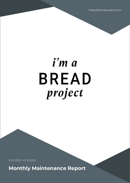https://serenesurgery.com/

# i'm a **BREAD** project

01/01/2022 - 01/31/2022

**Monthly Maintenance Report**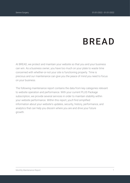# **BREAD**

At BREAD, we protect and maintain your website so that you and your business can win. As a business owner, you have too much on your plate to waste time concerned with whether-or-not your site is functioning properly. Time is precious and our maintenance can give you the peace of mind you need to focus on your business.

The following maintenance report contains the data from key categories relevant to website operation and performance. With your current PLUS Package subscription, we provide several services in order to maintain stability within your website performance. Within this report, you'll find simplified information about your website's updates, security, history, performance, and analytics that can help you discern where you are and drive your future growth.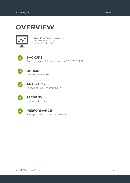### **OVERVIEW**



Website: https://serenesurgery.com/ IP Address: 34.105.30.128 WordPress Version: 5.8.3



#### **BACKUPS**

Backups created: 90; Latest one on: 02/01/2022 11:22



#### **UPTIME**

Overall uptime: 100.000%



#### **ANALYTICS**

Pageviews: 824; Site sessions: 392



#### **SECURITY**

Your website is safe



#### **PERFORMANCE**

PageSpeed score: 91; YSlow score: 98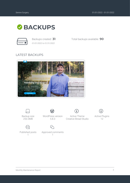

*01/01/2022 to 01/31/2022*

Backups created: **31** Total backups available: **90**

#### LATEST BACKUPS





Backup size 253.3MB



WordPress version 5.8.3

W

Approved comments 1

Active Theme Creative Bread Studio

i,



Active Plugins 12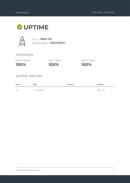### **UPTIME**



Up for: **88d 11h** Overall Uptime: **100.000%**

#### OVERVIEW

last 24 hours

**100%**

**100%** last 7 days last 30 days

**100%**

#### UPTIME HISTORY

| Event | Date       | Reason | <b>Duration</b> |
|-------|------------|--------|-----------------|
| UP    | 11/04/2021 | $\sim$ | 88d 11h         |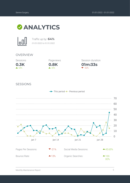



Traffic up by: **64%** *01/01/2022 to 01/31/2022*

#### OVERVIEW





**01m:33s** Session duration

 $-52%$ 

#### SESSIONS

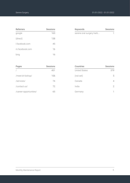| <b>Referrers</b> | <b>Sessions</b> |
|------------------|-----------------|
| google           | 165             |
| (direct)         | 138             |
| Lfacebook.com    | 45              |
| m.facebook.com   | 16              |
| bing             | 16              |

| Keywords                  | Sessions |
|---------------------------|----------|
| serene oral surgery hatti |          |

| Pages                  | <b>Sessions</b> |
|------------------------|-----------------|
|                        | 451             |
| /meet-dr-bishop/       | 106             |
| /services/             | 74              |
| /contact-us/           | 72              |
| /career-opportunities/ | 6h              |

| <b>Countries</b>     | <b>Sessions</b> |
|----------------------|-----------------|
| <b>United States</b> | 379             |
| (not set)            | 5               |
| Canada               | 4               |
| India                | 2               |
| Germany              |                 |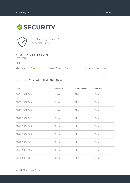## **SECURITY**



Total security checks: **31** *01/01/2022 to 01/31/2022*

#### MOST RECENT SCAN

*01/31/2022*

Status: Clean

| Malware: Clean | Web Trust: Clean | Vulnerabilities: 0 |  |
|----------------|------------------|--------------------|--|

#### SECURITY SCAN HISTORY (1/3)

| Date            | <b>Malware</b> | Vulnerabilities | <b>Web Trust</b> |
|-----------------|----------------|-----------------|------------------|
| 01/31/2022 7:04 | Clean          | Clean           | Clean            |
| 01/30/2022 8:03 | Clean          | Clean           | Clean            |
| 01/29/2022 6:04 | Clean          | Clean           | Clean            |
| 01/28/2022 0:32 | Clean          | Clean           | Clean            |
| 01/27/2022 7:33 | Clean          | Clean           | Clean            |
| 01/26/2022 6:05 | Clean          | Clean           | Clean            |
| 01/25/2022 7:01 | Clean          | Clean           | Clean            |
| 01/24/2022 8:06 | Clean          | Clean           | Clean            |
| 01/23/2022 3:31 | Clean          | Clean           | Clean            |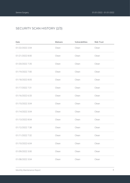#### SECURITY SCAN HISTORY (2/3)

| Date            | <b>Malware</b> | Vulnerabilities | <b>Web Trust</b> |
|-----------------|----------------|-----------------|------------------|
| 01/22/2022 2:04 | Clean          | Clean           | Clean            |
| 01/21/2022 8:00 | Clean          | Clean           | Clean            |
| 01/20/2022 7:35 | Clean          | Clean           | Clean            |
| 01/19/2022 7:00 | Clean          | Clean           | Clean            |
| 01/18/2022 8:05 | Clean          | Clean           | Clean            |
| 01/17/2022 7:31 | Clean          | Clean           | Clean            |
| 01/16/2022 6:33 | Clean          | Clean           | Clean            |
| 01/15/2022 3:04 | Clean          | Clean           | Clean            |
| 01/14/2022 3:04 | Clean          | Clean           | Clean            |
| 01/13/2022 8:04 | Clean          | Clean           | Clean            |
| 01/12/2022 7:38 | Clean          | Clean           | Clean            |
| 01/11/2022 7:32 | Clean          | Clean           | Clean            |
| 01/10/2022 6:04 | Clean          | Clean           | Clean            |
| 01/09/2022 3:00 | Clean          | Clean           | Clean            |
| 01/08/2022 3:04 | Clean          | Clean           | Clean            |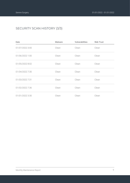#### SECURITY SCAN HISTORY (3/3)

| Date            | Malware | Vulnerabilities | <b>Web Trust</b> |
|-----------------|---------|-----------------|------------------|
| 01/07/2022 3:00 | Clean   | Clean           | Clean            |
| 01/06/2022 1:00 | Clean   | Clean           | Clean            |
| 01/05/2022 8:02 | Clean   | Clean           | Clean            |
| 01/04/2022 7:30 | Clean   | Clean           | Clean            |
| 01/03/2022 7:31 | Clean   | Clean           | Clean            |
| 01/02/2022 7:36 | Clean   | Clean           | Clean            |
| 01/01/2022 3:30 | Clean   | Clean           | Clean            |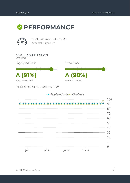



Total performance checks: **31** *01/01/2022 to 01/31/2022*

MOST RECENT SCAN *01/31/2022* PageSpeed Grade YSlow Grade **A (91%) A (98%)** Previous check: 89% Previous check: 91% PERFORMANCE OVERVIEW - PageSpeedGrade - YSlowGrade \_\_\_\_\_\_\_\_\_\_\_\_\_\_ \_\_\_\_\_\_\_\_\_\_\_\_\_\_ \_\_\_\_\_\_\_\_\_\_\_\_\_\_\_ 

20 10  $\overline{0}$  $Jan<sub>18</sub>$ Jan 4  $jan 11$ Jan 25

100

90

80

 $70$ 

60

50

40

30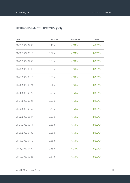#### PERFORMANCE HISTORY (1/3)

| Date             | Load time | PageSpeed | YSlow   |
|------------------|-----------|-----------|---------|
| 01/31/2022 07:07 | 0.45s     | A(91%)    | A (98%) |
| 01/30/2022 08:17 | 0.62s     | A (91%)   | B (89%) |
| 01/29/2022 04:50 | 0.68s     | A (91%)   | B (89%) |
| 01/28/2022 02:40 | 0.80s     | A (91%)   | B (89%) |
| 01/27/2022 08:10 | 0.65s     | A (91%)   | B (89%) |
| 01/26/2022 05:24 | 0.61s     | A (91%)   | B (89%) |
| 01/25/2022 07:26 | 0.66s     | A (91%)   | B (89%) |
| 01/24/2022 08:01 | 0.83s     | A (91%)   | B (89%) |
| 01/23/2022 07:50 | 0.77 s    | A (91%)   | B (89%) |
| 01/22/2022 06:47 | 0.60s     | A (91%)   | B (89%) |
| 01/21/2022 08:11 | 0.65s     | A (91%)   | B (89%) |
| 01/20/2022 07:35 | 0.66s     | A (91%)   | B (89%) |
| 01/19/2022 07:13 | 0.66s     | A (91%)   | B (89%) |
| 01/18/2022 07:09 | 0.66s     | A (91%)   | B (89%) |
| 01/17/2022 08:25 | 0.67s     | A (91%)   | B (89%) |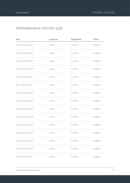#### PERFORMANCE HISTORY (2/3)

| Date             | Load time | PageSpeed | YSlow   |
|------------------|-----------|-----------|---------|
| 01/16/2022 07:43 | 0.60s     | A(91%)    | B (89%) |
| 01/15/2022 07:36 | 0.56s     | A (91%)   | B (89%) |
| 01/14/2022 07:35 | 0.98s     | A (91%)   | B (89%) |
| 01/13/2022 07:39 | 0.64s     | A (91%)   | B (89%) |
| 01/12/2022 07:37 | 0.76s     | A (91%)   | B (89%) |
| 01/11/2022 07:51 | 0.85s     | A (91%)   | B (89%) |
| 01/10/2022 02:36 | 0.64s     | A (91%)   | B (89%) |
| 01/09/2022 00:49 | 0.61s     | A (91%)   | B (89%) |
| 01/08/2022 08:02 | 0.64s     | A (91%)   | B (89%) |
| 01/07/2022 05:18 | 0.73s     | A (91%)   | B (89%) |
| 01/06/2022 02:14 | 0.63s     | A (91%)   | B (89%) |
| 01/05/2022 07:43 | 0.62s     | A (91%)   | B (89%) |
| 01/04/2022 07:52 | 0.64s     | A (91%)   | B (89%) |
| 01/03/2022 07:32 | 0.65s     | A (91%)   | B (89%) |
| 01/02/2022 07:47 | 0.60s     | A (91%)   | B (89%) |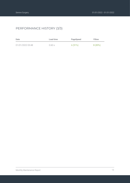#### PERFORMANCE HISTORY (3/3)

| Date             | Load time | PageSpeed | <b>YSlow</b> |
|------------------|-----------|-----------|--------------|
| 01/01/2022 03:48 | 0.60 s    | A (91%)   | B (89%)      |